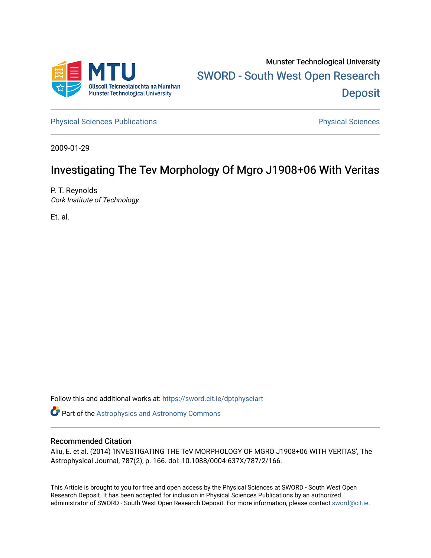

[Physical Sciences Publications](https://sword.cit.ie/dptphysciart) **Physical Sciences** Physical Sciences

2009-01-29

# Investigating The Tev Morphology Of Mgro J1908+06 With Veritas

P. T. Reynolds Cork Institute of Technology

Et. al.

Follow this and additional works at: [https://sword.cit.ie/dptphysciart](https://sword.cit.ie/dptphysciart?utm_source=sword.cit.ie%2Fdptphysciart%2F84&utm_medium=PDF&utm_campaign=PDFCoverPages)

Part of the [Astrophysics and Astronomy Commons](http://network.bepress.com/hgg/discipline/123?utm_source=sword.cit.ie%2Fdptphysciart%2F84&utm_medium=PDF&utm_campaign=PDFCoverPages) 

# Recommended Citation

Aliu, E. et al. (2014) 'INVESTIGATING THE TeV MORPHOLOGY OF MGRO J1908+06 WITH VERITAS', The Astrophysical Journal, 787(2), p. 166. doi: 10.1088/0004-637X/787/2/166.

This Article is brought to you for free and open access by the Physical Sciences at SWORD - South West Open Research Deposit. It has been accepted for inclusion in Physical Sciences Publications by an authorized administrator of SWORD - South West Open Research Deposit. For more information, please contact [sword@cit.ie.](mailto:sword@cit.ie)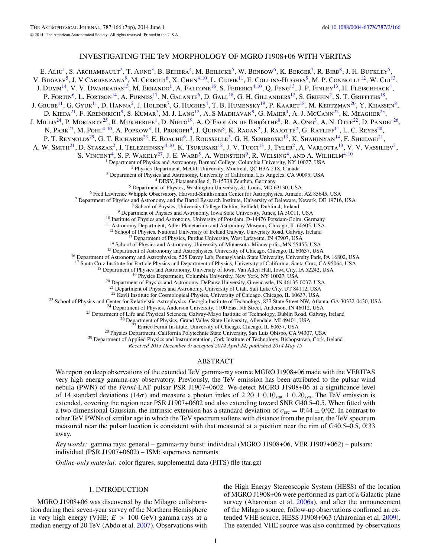# INVESTIGATING THE TeV MORPHOLOGY OF MGRO J1908+06 WITH VERITAS

E. Aliu<sup>1</sup>, S. Archambault<sup>2</sup>, T. Aune<sup>3</sup>, B. Behera<sup>4</sup>, M. Beilicke<sup>5</sup>, W. Benbow<sup>6</sup>, K. Berger<sup>7</sup>, R. Bird<sup>8</sup>, J. H. Buckley<sup>5</sup>, V. Bugaev<sup>5</sup>, J. V Cardenzana<sup>9</sup>, M. Cerruti<sup>6</sup>, X. Chen<sup>4,10</sup>, L. Ciupik<sup>11</sup>, E. Collins-Hughes<sup>8</sup>, M. P. Connolly<sup>12</sup>, W. Cui<sup>13</sup>, J. Dumm<sup>14</sup>, V. V. Dwarkadas<sup>15</sup>, M. Errando<sup>1</sup>, A. Falcone<sup>16</sup>, S. Federici<sup>4, 10</sup>, Q. Feng<sup>13</sup>, J. P. Finley<sup>13</sup>, H. Fleischhack<sup>4</sup>, P. FORTIN<sup>6</sup>, L. FORTSON<sup>14</sup>, A. FURNISS<sup>17</sup>, N. GALANTE<sup>6</sup>, D. GALL<sup>18</sup>, G. H. GILLANDERS<sup>12</sup>, S. GRIFFIN<sup>2</sup>, S. T. GRIFFITHS<sup>18</sup>, J. Grube<sup>11</sup>, G. Gyuk<sup>11</sup>, D. Hanna<sup>2</sup>, J. Holder<sup>7</sup>, G. Hughes<sup>4</sup>, T. B. Humensky<sup>19</sup>, P. Kaaret<sup>18</sup>, M. Kertzman<sup>20</sup>, Y. Khassen<sup>8</sup>, D. KIEDA<sup>21</sup>, F. KRENNRICH<sup>9</sup>, S. KUMAR<sup>7</sup>, M. J. LANG<sup>12</sup>, A. S MADHAVAN<sup>9</sup>, G. MAIER<sup>4</sup>, A. J. McCANN<sup>22</sup>, K. Meagher<sup>23</sup>, J. MILLIS<sup>24</sup>, P. MORIARTY<sup>25</sup>, R. MUKHERJEE<sup>1</sup>, D. NIETO<sup>19</sup>, A. O'FAOLÁIN DE BHRÓITHE<sup>8</sup>, R. A. Ong<sup>3</sup>, A. N. Otte<sup>22</sup>, D. Pandel<sup>26</sup>, N. Park<sup>27</sup>, M. Pohl<sup>4,10</sup>, A. Popkow<sup>3</sup>, H. Prokoph<sup>4</sup>, J. Quinn<sup>8</sup>, K. Ragan<sup>2</sup>, J. Rajotte<sup>2</sup>, G. Ratliff<sup>11</sup>, L. C. Reyes<sup>28</sup>, P. T. REYNOLDS<sup>29</sup>, G. T. RICHARDS<sup>23</sup>, E. ROACHE<sup>6</sup>, J. ROUSSELLE<sup>3</sup>, G. H. SEMBROSKI<sup>13</sup>, K. SHAHINYAN<sup>14</sup>, F. SHEIDAEI<sup>21</sup>, A. W. SMITH<sup>21</sup>, D. STASZAK<sup>2</sup>, I. TELEZHINSKY<sup>4,10</sup>, K. TSURUSAKI<sup>18</sup>, J. V. TUCCI<sup>13</sup>, J. TYLER<sup>2</sup>, A. VARLOTTA<sup>13</sup>, V. V. VASSILIEV<sup>3</sup>, S. VINCENT<sup>4</sup>, S. P. WAKELY<sup>27</sup>, J. E. WARD<sup>5</sup>, A. WEINSTEIN<sup>9</sup>, R. WELSING<sup>4</sup>, AND A. WILHELM<sup>4, 10</sup><br><sup>1</sup> Department of Physics and Astronomy, Barnard College, Columbia University, NY 10027, USA <sup>2</sup> Physics Department, McGill University, Montreal, QC H3A 2T8, Canada<br><sup>3</sup> Department of Physics and Astronomy, University of California, Los Angeles, CA 90095, USA<br><sup>4</sup> DESY, Platanenallee 6, D-15738 Zeuthen, Germany<br><sup>5</sup> <sup>13</sup> Department of Physics, Purdue University, West Lafayette, IN 47907, USA<br><sup>14</sup> School of Physics and Astronomy, University of Minnesota, Minneapolis, MN 55455, USA<br><sup>15</sup> Department of Astronomy and Astrophysics, Universi <sup>17</sup> Santa Cruz Institute for Particle Physics and Department of Physics, University of California, Santa Cruz, CA 95064, USA <sup>18</sup> Department of Physics and Astronomy, University of Iowa, Van Allen Hall, Iowa City, IA 522 <sup>21</sup> Department of Physics and Astronomy, University of Utah, Salt Lake City, UT 84112, USA  $^{22}$  Kavli Institute for Cosmological Physics, University of Chicago, Chicago, IL 60637, USA <sup>23</sup> School of Physics and Center for Relativistic Astrophysics, Georgia Institute of Technology, 837 State Street NW, Atlanta, GA 30332-0430, USA<br><sup>24</sup> Department of Physics, Anderson University, 1100 East 5th Street, And

*Received 2013 December 3; accepted 2014 April 24; published 2014 May 15*

#### ABSTRACT

We report on deep observations of the extended TeV gamma-ray source MGRO J1908+06 made with the VERITAS very high energy gamma-ray observatory. Previously, the TeV emission has been attributed to the pulsar wind nebula (PWN) of the *Fermi*-LAT pulsar PSR J1907+0602. We detect MGRO J1908+06 at a significance level of 14 standard deviations (14 $\sigma$ ) and measure a photon index of 2.20  $\pm$  0.10<sub>stat</sub>  $\pm$  0.20<sub>sys</sub>. The TeV emission is extended, covering the region near PSR J1907+0602 and also extending toward SNR G40.5–0.5. When fitted with a two-dimensional Gaussian, the intrinsic extension has a standard deviation of  $\sigma_{\rm src} = 0.44 \pm 0.02$ . In contrast to other TeV PWNe of similar age in which the TeV spectrum softens with distance from the pulsar, the TeV spectrum measured near the pulsar location is consistent with that measured at a position near the rim of G40.5–0.5, 0.<sup>33</sup> away.

*Key words:* gamma rays: general – gamma-ray burst: individual (MGRO J1908+06, VER J1907+062) – pulsars: individual (PSR J1907+0602) – ISM: supernova remnants

*Online-only material:* color figures, supplemental data (FITS) file (tar.gz)

### 1. INTRODUCTION

MGRO J1908+06 was discovered by the Milagro collaboration during their seven-year survey of the Northern Hemisphere in very high energy (VHE; *E >* 100 GeV) gamma rays at a median energy of 20 TeV (Abdo et al. [2007\)](#page-7-0). Observations with

the High Energy Stereoscopic System (HESS) of the location of MGRO J1908+06 were performed as part of a Galactic plane survey (Aharonian et al. [2006a\)](#page-7-0), and after the announcement of the Milagro source, follow-up observations confirmed an extended VHE source, HESS J1908+063 (Aharonian et al. [2009\)](#page-7-0). The extended VHE source was also confirmed by observations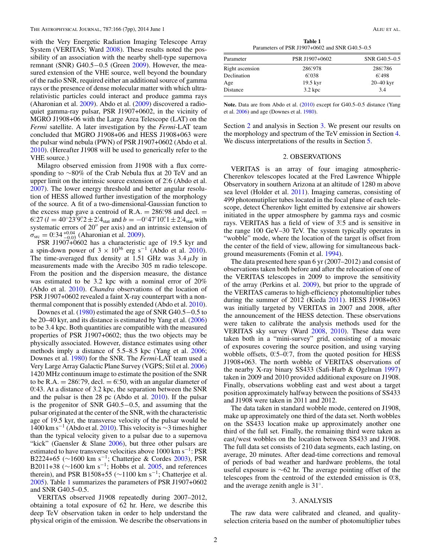with the Very Energetic Radiation Imaging Telescope Array System (VERITAS; Ward [2008\)](#page-7-0). These results noted the possibility of an association with the nearby shell-type supernova remnant (SNR) G40.5−0.5 (Green [2009\)](#page-7-0). However, the measured extension of the VHE source, well beyond the boundary of the radio SNR, required either an additional source of gamma rays or the presence of dense molecular matter with which ultrarelativistic particles could interact and produce gamma rays (Aharonian et al. [2009\)](#page-7-0). Abdo et al. [\(2009\)](#page-7-0) discovered a radioquiet gamma-ray pulsar, PSR J1907+0602, in the vicinity of MGRO J1908+06 with the Large Area Telescope (LAT) on the *Fermi* satellite. A later investigation by the *Fermi*-LAT team concluded that MGRO J1908+06 and HESS J1908+063 were the pulsar wind nebula (PWN) of PSR J1907+0602 (Abdo et al. [2010\)](#page-7-0). (Hereafter J1908 will be used to generically refer to the VHE source.)

Milagro observed emission from J1908 with a flux corresponding to ∼80% of the Crab Nebula flux at 20 TeV and an upper limit on the intrinsic source extension of 2.<sup>o</sup> (Abdo et al. [2007\)](#page-7-0). The lower energy threshold and better angular resolution of HESS allowed further investigation of the morphology of the source. A fit of a two-dimensional-Gaussian function to the excess map gave a centroid of R.A.  $= 286°.98$  and decl.  $=$ 6°  $27 (l = 40° 23'9''2 \pm 2'4_{\text{stat}}$  and  $b = -0°47'10''1 \pm 2'4_{\text{stat}}$  with systematic errors of  $20''$  per axis) and an intrinsic extension of  $\sigma_{\rm src} = 0.34_{-0.04}^{+0.04}$  (Aharonian et al. [2009\)](#page-7-0).

PSR J1907+0602 has a characteristic age of 19.5 kyr and a spin-down power of  $3 \times 10^{36}$  erg s<sup>-1</sup> (Abdo et al. [2010\)](#page-7-0). The time-averaged flux density at 1.51 GHz was 3.4*μ*Jy in measurements made with the Arecibo 305 m radio telescope. From the position and the dispersion measure, the distance was estimated to be 3.2 kpc with a nominal error of 20% (Abdo et al. [2010\)](#page-7-0). *Chandra* observations of the location of PSR J1907+0602 revealed a faint X-ray counterpart with a nonthermal component that is possibly extended (Abdo et al. [2010\)](#page-7-0).

Downes et al. [\(1980\)](#page-7-0) estimated the age of SNR G40.5−0.5 to be 20–40 kyr, and its distance is estimated by Yang et al. [\(2006\)](#page-7-0) to be 3.4 kpc. Both quantities are compatible with the measured properties of PSR J1907+0602; thus the two objects may be physically associated. However, distance estimates using other methods imply a distance of 5.5–8.5 kpc (Yang et al. [2006;](#page-7-0) Downes et al. [1980\)](#page-7-0) for the SNR. The *Fermi*-LAT team used a Very Large Array Galactic Plane Survey (VGPS; Stil et al. [2006\)](#page-7-0) 1420 MHz continuum image to estimate the position of the SNR to be R.A.  $= 286.79$ , decl.  $= 6.50$ , with an angular diameter of 0°.43. At a distance of 3.2 kpc, the separation between the SNR and the pulsar is then 28 pc (Abdo et al. [2010\)](#page-7-0). If the pulsar is the progenitor of SNR G40.5−0.5, and assuming that the pulsar originated at the center of the SNR, with the characteristic age of 19.5 kyr, the transverse velocity of the pulsar would be 1400 km s<sup>-1</sup> (Abdo et al. [2010\)](#page-7-0). This velocity is  $\sim$ 3 times higher than the typical velocity given to a pulsar due to a supernova "kick" (Gaensler  $\&$  Slane [2006\)](#page-7-0), but three other pulsars are estimated to have transverse velocities above 1000 km s−1: PSR B2224+65 ( $\sim$ 1600 km s<sup>-1</sup>; Chatterjee & Cordes [2003\)](#page-7-0), PSR B2011+38 ( $\sim$ 1600 km s<sup>-1</sup>; Hobbs et al. [2005,](#page-7-0) and references therein), and PSR B1508+55 ( $\sim$ 1100 km s<sup>-1</sup>; Chatterjee et al. [2005\)](#page-7-0). Table 1 summarizes the parameters of PSR J1907+0602 and SNR G40.5–0.5.

VERITAS observed J1908 repeatedly during 2007–2012, obtaining a total exposure of 62 hr. Here, we describe this deep TeV observation taken in order to help understand the physical origin of the emission. We describe the observations in

**Table 1** Parameters of PSR J1907+0602 and SNR G40.5–0.5

| Parameter       | PSR J1907+0602        | SNR G40.5-0.5 |  |
|-----------------|-----------------------|---------------|--|
| Right ascension | 286, 978              | 286,786       |  |
| Declination     | 6.038                 | 6.498         |  |
| Age             | $19.5 \,\mathrm{kyr}$ | $20 - 40$ kyr |  |
| Distance        | 3.2 kpc               | 3.4           |  |

Note. Data are from Abdo et al. [\(2010\)](#page-7-0) except for G40.5–0.5 distance (Yang et al. [2006\)](#page-7-0) and age (Downes et al. [1980\)](#page-7-0).

Section 2 and analysis in Section 3. We present our results on the morphology and spectrum of the TeV emission in Section [4.](#page-3-0) We discuss interpretations of the results in Section [5.](#page-4-0)

#### 2. OBSERVATIONS

VERITAS is an array of four imaging atmospheric-Cherenkov telescopes located at the Fred Lawrence Whipple Observatory in southern Arizona at an altitude of 1280 m above sea level (Holder et al. [2011\)](#page-7-0). Imaging cameras, consisting of 499 photomutiplier tubes located in the focal plane of each telescope, detect Cherenkov light emitted by extensive air showers initiated in the upper atmosphere by gamma rays and cosmic rays. VERITAS has a field of view of 3°.5 and is sensitive in the range 100 GeV–30 TeV. The system typically operates in "wobble" mode, where the location of the target is offset from the center of the field of view, allowing for simultaneous background measurements (Fomin et al. [1994\)](#page-7-0).

The data presented here span 6 yr (2007–2012) and consist of observations taken both before and after the relocation of one of the VERITAS telescopes in 2009 to improve the sensitivity of the array (Perkins et al. [2009\)](#page-7-0), but prior to the upgrade of the VERITAS cameras to high-efficiency photomultiplier tubes during the summer of 2012 (Kieda [2011\)](#page-7-0). HESS J1908+063 was initially targeted by VERITAS in 2007 and 2008, after the announcement of the HESS detection. These observations were taken to calibrate the analysis methods used for the VERITAS sky survey (Ward [2008,](#page-7-0) [2010\)](#page-7-0). These data were taken both in a "mini-survey" grid, consisting of a mosaic of exposures covering the source position, and using varying wobble offsets, 0°.5–0°.7, from the quoted position for HESS J1908+063. The north wobble of VERITAS observations of the nearby X-ray binary SS433 (Safi-Harb & Ogelman [1997\)](#page-7-0) taken in 2009 and 2010 provided additional exposure on J1908. Finally, observations wobbling east and west about a target position approximately halfway between the positions of SS433 and J1908 were taken in 2011 and 2012.

The data taken in standard wobble mode, centered on J1908, make up approximately one third of the data set. North wobbles on the SS433 location make up approximately another one third of the full set. Finally, the remaining third were taken as east*/*west wobbles on the location between SS433 and J1908. The full data set consists of 210 data segments, each lasting, on average, 20 minutes. After dead-time corrections and removal of periods of bad weather and hardware problems, the total useful exposure is ∼62 hr. The average pointing offset of the telescopes from the centroid of the extended emission is 0.8, and the average zenith angle is 31◦.

#### 3. ANALYSIS

The raw data were calibrated and cleaned, and qualityselection criteria based on the number of photomultiplier tubes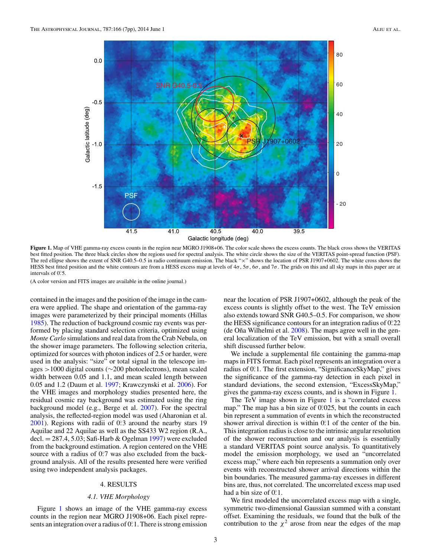<span id="page-3-0"></span>

**Figure 1.** Map of VHE gamma-ray excess counts in the region near MGRO J1908+06. The color scale shows the excess counts. The black cross shows the VERITAS best fitted position. The three black circles show the regions used for spectral analysis. The white circle shows the size of the VERITAS point-spread function (PSF). The red ellipse shows the extent of SNR G40.5–0.5 in radio continuum emission. The black "x" shows the location of PSR J1907+0602. The white cross shows the HESS best fitted position and the white contours are from a HESS excess map at levels of 4*σ*, 5*σ*, 6*σ*, and 7*σ*. The grids on this and all sky maps in this paper are at intervals of 0.5.

(A color version and FITS images are available in the online journal.)

contained in the images and the position of the image in the camera were applied. The shape and orientation of the gamma-ray images were parameterized by their principal moments (Hillas [1985\)](#page-7-0). The reduction of background cosmic ray events was performed by placing standard selection criteria, optimized using *Monte Carlo* simulations and real data from the Crab Nebula, on the shower image parameters. The following selection criteria, optimized for sources with photon indices of 2.5 or harder, were used in the analysis: "size" or total signal in the telescope images *>*1000 digital counts (∼200 photoelectrons), mean scaled width between 0.05 and 1.1, and mean scaled length between 0.05 and 1.2 (Daum et al. [1997;](#page-7-0) Krawczynski et al. [2006\)](#page-7-0). For the VHE images and morphology studies presented here, the residual cosmic ray background was estimated using the ring background model (e.g., Berge et al. [2007\)](#page-7-0). For the spectral analysis, the reflected-region model was used (Aharonian et al. [2001\)](#page-7-0). Regions with radii of 0°<sub>2</sub> around the nearby stars 19 Aquilae and 22 Aquilae as well as the SS433 W2 region (R.A., decl.  $= 287.4$ , 5.03; Safi-Harb & Ogelman [1997\)](#page-7-0) were excluded from the background estimation. A region centered on the VHE source with a radius of  $0^\circ$ .7 was also excluded from the background analysis. All of the results presented here were verified using two independent analysis packages.

## 4. RESULTS

#### *4.1. VHE Morphology*

Figure 1 shows an image of the VHE gamma-ray excess counts in the region near MGRO J1908+06. Each pixel represents an integration over a radius of 0°.1. There is strong emission

near the location of PSR J1907+0602, although the peak of the excess counts is slightly offset to the west. The TeV emission also extends toward SNR G40.5–0.5. For comparison, we show the HESS significance contours for an integration radius of 0*.* ◦22 (de Oña Wilhelmi et al.  $2008$ ). The maps agree well in the general localization of the TeV emission, but with a small overall shift discussed further below.

We include a supplemental file containing the gamma-map maps in FITS format. Each pixel represents an integration over a radius of 0.<sup>o</sup>.1. The first extension, "SignificanceSkyMap," gives the significance of the gamma-ray detection in each pixel in standard deviations, the second extension, "ExcessSkyMap," gives the gamma-ray excess counts, and is shown in Figure 1.

The TeV image shown in Figure 1 is a "correlated excess" map." The map has a bin size of 0.025, but the counts in each bin represent a summation of events in which the reconstructed shower arrival direction is within  $0^\circ$ . 1 of the center of the bin. This integration radius is close to the intrinsic angular resolution of the shower reconstruction and our analysis is essentially a standard VERITAS point source analysis. To quantitatively model the emission morphology, we used an "uncorrelated excess map," where each bin represents a summation only over events with reconstructed shower arrival directions within the bin boundaries. The measured gamma-ray excesses in different bins are, thus, not correlated. The uncorrelated excess map used had a bin size of 0.<sup>o.</sup>1.

We first modeled the uncorrelated excess map with a single, symmetric two-dimensional Gaussian summed with a constant offset. Examining the residuals, we found that the bulk of the contribution to the  $\chi^2$  arose from near the edges of the map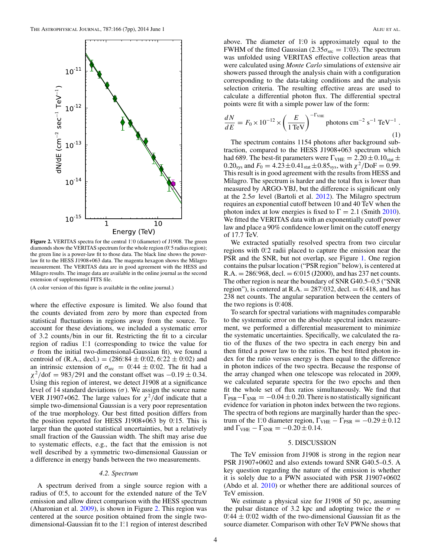<span id="page-4-0"></span>

**Figure 2.** VERITAS spectra for the central 1.0 (diameter) of J1908. The green diamonds show the VERITAS spectrum for the whole region (0.5 radius region); the green line is a power-law fit to those data. The black line shows the powerlaw fit to the HESS J1908+063 data. The magenta hexagon shows the Milagro measurement. The VERITAS data are in good agreement with the HESS and Milagro results. The image data are available in the online journal as the second extension of supplemental FITS file.

(A color version of this figure is available in the online journal.)

where the effective exposure is limited. We also found that the counts deviated from zero by more than expected from statistical fluctuations in regions away from the source. To account for these deviations, we included a systematic error of 3.2 counts*/*bin in our fit. Restricting the fit to a circular region of radius 1.<sup>2</sup> (corresponding to twice the value for *σ* from the initial two-dimensional-Gaussian fit), we found a centroid of (R.A., decl.) =  $(286.84 \pm 0.02, 6.22 \pm 0.02)$  and an intrinsic extension of  $\sigma_{\text{src}} = 0.44 \pm 0.02$ . The fit had a  $\chi^2$ /dof = 983/291 and the constant offset was  $-0.19 \pm 0.34$ . Using this region of interest, we detect J1908 at a significance level of 14 standard deviations (*σ*). We assign the source name VER J1907+062. The large values for  $\chi^2$ /dof indicate that a simple two-dimensional Gaussian is a very poor representation of the true morphology. Our best fitted position differs from the position reported for HESS J1908+063 by 0.15. This is larger than the quoted statistical uncertainties, but a relatively small fraction of the Gaussian width. The shift may arise due to systematic effects, e.g., the fact that the emission is not well described by a symmetric two-dimensional Gaussian or a difference in energy bands between the two measurements.

#### *4.2. Spectrum*

A spectrum derived from a single source region with a radius of 0°.5, to account for the extended nature of the TeV emission and allow direct comparison with the HESS spectrum (Aharonian et al. [2009\)](#page-7-0), is shown in Figure 2. This region was centered at the source position obtained from the single twodimensional-Gaussian fit to the 1°.1 region of interest described

above. The diameter of 1<sup>o</sup>.0 is approximately equal to the FWHM of the fitted Gaussian  $(2.35\sigma_{src} = 1.03)$ . The spectrum was unfolded using VERITAS effective collection areas that were calculated using *Monte Carlo* simulations of extensive air showers passed through the analysis chain with a configuration corresponding to the data-taking conditions and the analysis selection criteria. The resulting effective areas are used to calculate a differential photon flux. The differential spectral points were fit with a simple power law of the form:

$$
\frac{dN}{dE} = F_0 \times 10^{-12} \times \left(\frac{E}{1 \text{ TeV}}\right)^{-\text{T}_{\text{VHE}}} \text{photons cm}^{-2} \text{ s}^{-1} \text{ TeV}^{-1} .
$$
\n(1)

The spectrum contains 1154 photons after background subtraction, compared to the HESS J1908+063 spectrum which had 689. The best-fit parameters were  $\Gamma_{\text{VHE}} = 2.20 \pm 0.10_{\text{stat}} \pm 0.10$ 0.20<sub>sys</sub> and  $F_0 = 4.23 \pm 0.41_{stat} \pm 0.85_{sys}$ , with  $\chi^2/\text{DoF} = 0.99$ . This result is in good agreement with the results from HESS and Milagro. The spectrum is harder and the total flux is lower than measured by ARGO-YBJ, but the difference is significant only at the  $2.5\sigma$  level (Bartoli et al. [2012\)](#page-7-0). The Milagro spectrum requires an exponential cutoff between 10 and 40 TeV when the photon index at low energies is fixed to  $\Gamma = 2.1$  (Smith [2010\)](#page-7-0). We fitted the VERITAS data with an exponentially cutoff power law and place a 90% confidence lower limit on the cutoff energy of 17.7 TeV.

We extracted spatially resolved spectra from two circular regions with 0°<sub>2</sub> radii placed to capture the emission near the PSR and the SNR, but not overlap, see Figure [1.](#page-3-0) One region contains the pulsar location ("PSR region" below), is centered at  $R.A. = 286°,968, \text{ decl.} = 6°,015 \ (J2000), \text{ and has } 237 \text{ net counts.}$ The other region is near the boundary of SNR G40.5–0.5 ("SNR region"), is centered at R.A. =  $287^{\circ}032$ , decl. =  $6^{\circ}418$ , and has 238 net counts. The angular separation between the centers of the two regions is 0.408.

To search for spectral variations with magnitudes comparable to the systematic error on the absolute spectral index measurement, we performed a differential measurement to minimize the systematic uncertainties. Specifically, we calculated the ratio of the fluxes of the two spectra in each energy bin and then fitted a power law to the ratios. The best fitted photon index for the ratio versus energy is then equal to the difference in photon indices of the two spectra. Because the response of the array changed when one telescope was relocated in 2009, we calculated separate spectra for the two epochs and then fit the whole set of flux ratios simultaneously. We find that  $\Gamma_{PSR} - \Gamma_{SNR} = -0.04 \pm 0.20$ . There is no statistically significant evidence for variation in photon index between the two regions. The spectra of both regions are marginally harder than the spectrum of the 1<sup>2</sup>. diameter region,  $\Gamma_{\text{VHE}} - \Gamma_{\text{PSR}} = -0.29 \pm 0.12$ and  $\Gamma_{\text{VHE}} - \Gamma_{\text{SNR}} = -0.20 \pm 0.14$ .

#### 5. DISCUSSION

The TeV emission from J1908 is strong in the region near PSR J1907+0602 and also extends toward SNR G40.5–0.5. A key question regarding the nature of the emission is whether it is solely due to a PWN associated with PSR J1907+0602 (Abdo et al. [2010\)](#page-7-0) or whether there are additional sources of TeV emission.

We estimate a physical size for J1908 of 50 pc, assuming the pulsar distance of 3.2 kpc and adopting twice the  $\sigma =$  $0.44 \pm 0.02$  width of the two-dimensional Gaussian fit as the source diameter. Comparison with other TeV PWNe shows that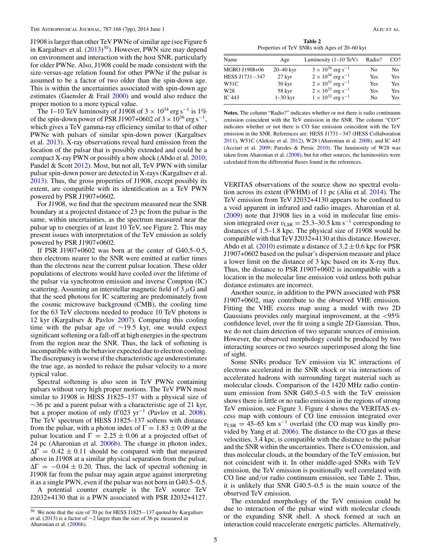J1908 is larger than other TeV PWNe of similar age (see Figure 6 in Kargaltsev et al. [\(2013\)](#page-7-0)<sup>30</sup>). However, PWN size may depend on environment and interaction with the host SNR, particularly for older PWNe. Also, J1908 could be made consistent with the size-versus-age relation found for other PWNe if the pulsar is assumed to be a factor of two older than the spin-down age. This is within the uncertainties associated with spin-down age estimates (Gaensler & Frail  $2000$ ) and would also reduce the proper motion to a more typical value.

The 1–10 TeV luminosity of J1908 of  $3 \times 10^{34}$  erg s<sup>-1</sup> is 1% of the spin-down power of PSR J1907+0602 of  $3 \times 10^{36}$  erg s<sup>-1</sup>, which gives a TeV gamma-ray efficiency similar to that of other PWNe with pulsars of similar spin-down power (Kargaltsev et al. [2013\)](#page-7-0). X-ray observations reveal hard emission from the location of the pulsar that is possibly extended and could be a compact X-ray PWN or possibly a bow shock (Abdo et al. [2010;](#page-7-0) Pandel & Scott [2012\)](#page-7-0). Most, but not all, TeV PWN with similar pulsar spin-down power are detected in X-rays (Kargaltsev et al. [2013\)](#page-7-0). Thus, the gross properties of J1908, except possibly its extent, are compatible with its identification as a TeV PWN powered by PSR J1907+0602.

For J1908, we find that the spectrum measured near the SNR boundary at a projected distance of 23 pc from the pulsar is the same, within uncertainties, as the spectrum measured near the pulsar up to energies of at least 10 TeV, see Figure [2.](#page-4-0) This may present issues with interpretation of the TeV emission as solely powered by PSR J1907+0602.

If PSR J1907+0602 was born at the center of G40.5–0.5, then electrons nearer to the SNR were emitted at earlier times than the electrons near the current pulsar location. These older populations of electrons would have cooled over the lifetime of the pulsar via synchrotron emission and inverse Compton (IC) scattering. Assuming an interstellar magnetic field of 3*μ*G and that the seed photons for IC scattering are predominately from the cosmic microwave background (CMB), the cooling time for the 63 TeV electrons needed to produce 10 TeV photons is 12 kyr (Kargaltsev & Pavlov [2007\)](#page-7-0). Comparing this cooling time with the pulsar age of ∼19*.*5 kyr, one would expect significant softening or a fall-off at high energies in the spectrum from the region near the SNR. Thus, the lack of softening is incompatible with the behavior expected due to electron cooling. The discrepancy is worse if the characteristic age underestimates the true age, as needed to reduce the pulsar velocity to a more typical value.

Spectral softening is also seen in TeV PWNe containing pulsars without very high proper motions. The TeV PWN most similar to J1908 is HESS J1825–137 with a physical size of  $\sim$ 36 pc and a parent pulsar with a characteristic age of 21 kyr, but a proper motion of only 0'.<sup>023</sup> yr<sup>-1</sup> (Pavlov et al. [2008\)](#page-7-0). The TeV spectrum of HESS J1825–137 softens with distance from the pulsar, with a photon index of  $\Gamma = 1.83 \pm 0.09$  at the pulsar location and  $\Gamma = 2.25 \pm 0.06$  at a projected offset of 24 pc (Aharonian et al. [2006b\)](#page-7-0). The change in photon index,  $\Delta\Gamma = 0.42 \pm 0.11$  should be compared with that measured above in J1908 at a similar physical separation from the pulsar,  $\Delta\Gamma = -0.04 \pm 0.20$ . Thus, the lack of spectral softening in J1908 far from the pulsar may again argue against interpreting it as a single PWN, even if the pulsar was not born in G40.5–0.5.

A potential counter example is the TeV source TeV J2032+4130 that is a PWN associated with PSR J2032+4127.

**Table 2** Properties of TeV SNRs with Ages of 20–60 kyr

| Age                 | Luminosity $(1-10 \text{ TeV})$        | Radio? | CO <sup>2</sup> |
|---------------------|----------------------------------------|--------|-----------------|
| $20 - 40$ kyr       | $3 \times 10^{34}$ erg s <sup>-1</sup> | No.    | No              |
| 27 kyr              | $2 \times 10^{34}$ erg s <sup>-1</sup> | Yes    | Yes             |
| $30 \,\mathrm{kyr}$ | $2 \times 10^{33}$ erg s <sup>-1</sup> | Yes    | Yes             |
| 58 kyr              | $2 \times 10^{33}$ erg s <sup>-1</sup> | Yes    | Yes             |
| $1-30$ kyr          | $1 \times 10^{33}$ erg s <sup>-1</sup> | No.    | Yes             |
|                     |                                        |        |                 |

**Notes.** The column "Radio?" indicates whether or not there is radio continuum emission coincident with the TeV emission in the SNR. The column "CO?" indicates whether or not there is CO line emission coincident with the TeV emission in the SNR. References are: HESS J1731−347 (HESS Collaboration [2011\)](#page-7-0), W51C (Aleksic et al. [2012\)](#page-7-0), W28 (Aharonian et al. [2008\)](#page-7-0), and IC 443 (Acciari et al. [2009;](#page-7-0) Paredes & Persic [2010\)](#page-7-0). The luminosity of W28 was taken from Aharonian et al. [\(2008\)](#page-7-0), but for other sources, the luminosities were calculated from the differential fluxes found in the references.

VERITAS observations of the source show no spectral evolution across its extent (FWHM) of 11 pc (Aliu et al. [2014\)](#page-7-0). The TeV emission from TeV J2032+4130 appears to be confined to a void apparent in infrared and radio images. Aharonian et al. [\(2009\)](#page-7-0) note that J1908 lies in a void in molecular line emission integrated over  $v_{LSR} = 25.3-30.5$  km s<sup>-1</sup> corresponding to distances of 1.5–1.8 kpc. The physical size of J1908 would be compatible with that TeV J2032+4130 at this distance. However, Abdo et al.  $(2010)$  estimate a distance of  $3.2 \pm 0.6$  kpc for PSR J1907+0602 based on the pulsar's dispersion measure and place a lower limit on the distance of 3 kpc based on its X-ray flux. Thus, the distance to PSR J1907+0602 is incompatible with a location in the molecular line emission void unless both pulsar distance estimates are incorrect.

Another source, in addition to the PWN associated with PSR J1907+0602, may contribute to the observed VHE emission. Fitting the VHE excess map using a model with two 2D Gaussians provides only marginal improvement, at the *<*95% confidence level, over the fit using a single 2D Gaussian. Thus, we do not claim detection of two separate sources of emission. However, the observed morphology could be produced by two interacting sources or two sources superimposed along the line of sight.

Some SNRs produce TeV emission via IC interactions of electrons accelerated in the SNR shock or via interactions of accelerated hadrons with surrounding target material such as molecular clouds. Comparison of the 1420 MHz radio continuum emission from SNR G40.5–0.5 with the TeV emission shows there is little or no radio emission in the regions of strong TeV emission, see Figure [3.](#page-6-0) Figure [4](#page-6-0) shows the VERITAS excess map with contours of CO line emission integrated over  $v_{LSR}$  = 45–65 km s<sup>-1</sup> overlaid (the CO map was kindly provided by Yang et al. [2006\)](#page-7-0). The distance to the CO gas at these velocities, 3.4 kpc, is compatible with the distance to the pulsar and the SNR within the uncertainties. There is CO emission, and thus molecular clouds, at the boundary of the TeV emission, but not coincident with it. In other middle-aged SNRs with TeV emission, the TeV emission is positionally well correlated with CO line and*/*or radio continuum emission, see Table 2. Thus, it is unlikely that SNR G40.5–0.5 is the main source of the observed TeV emission.

The extended morphology of the TeV emission could be due to interaction of the pulsar wind with molecular clouds or the expanding SNR shell. A shock formed at such an interaction could reaccelerate energetic particles. Alternatively,

<sup>&</sup>lt;sup>30</sup> We note that the size of 70 pc for HESS J1825−137 quoted by Kargaltsev et al. [\(2013\)](#page-7-0) is a factor of ∼2 larger than the size of 36 pc measured in Aharonian et al. [\(2006b\)](#page-7-0).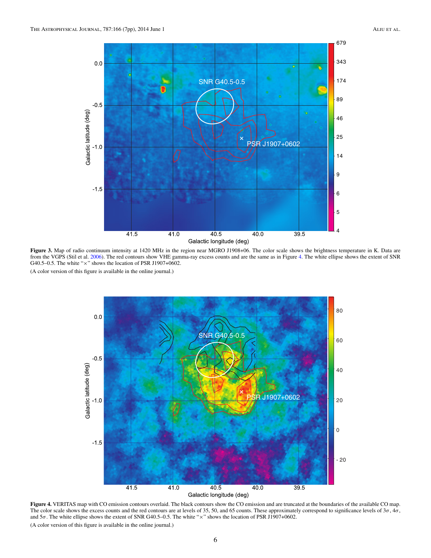<span id="page-6-0"></span>

**Figure 3.** Map of radio continuum intensity at 1420 MHz in the region near MGRO J1908+06. The color scale shows the brightness temperature in K. Data are from the VGPS (Stil et al. [2006\)](#page-7-0). The red contours show VHE gamma-ray excess counts and are the same as in Figure 4. The white ellipse shows the extent of SNR G40.5–0.5. The white " $\times$ " shows the location of PSR J1907+0602.

(A color version of this figure is available in the online journal.)



**Figure 4.** VERITAS map with CO emission contours overlaid. The black contours show the CO emission and are truncated at the boundaries of the available CO map. The color scale shows the excess counts and the red contours are at levels of 35, 50, and 65 counts. These approximately correspond to significance levels of 3*σ*, 4*σ*, and 5*σ*. The white ellipse shows the extent of SNR G40.5–0.5. The white "×" shows the location of PSR J1907+0602. (A color version of this figure is available in the online journal.)